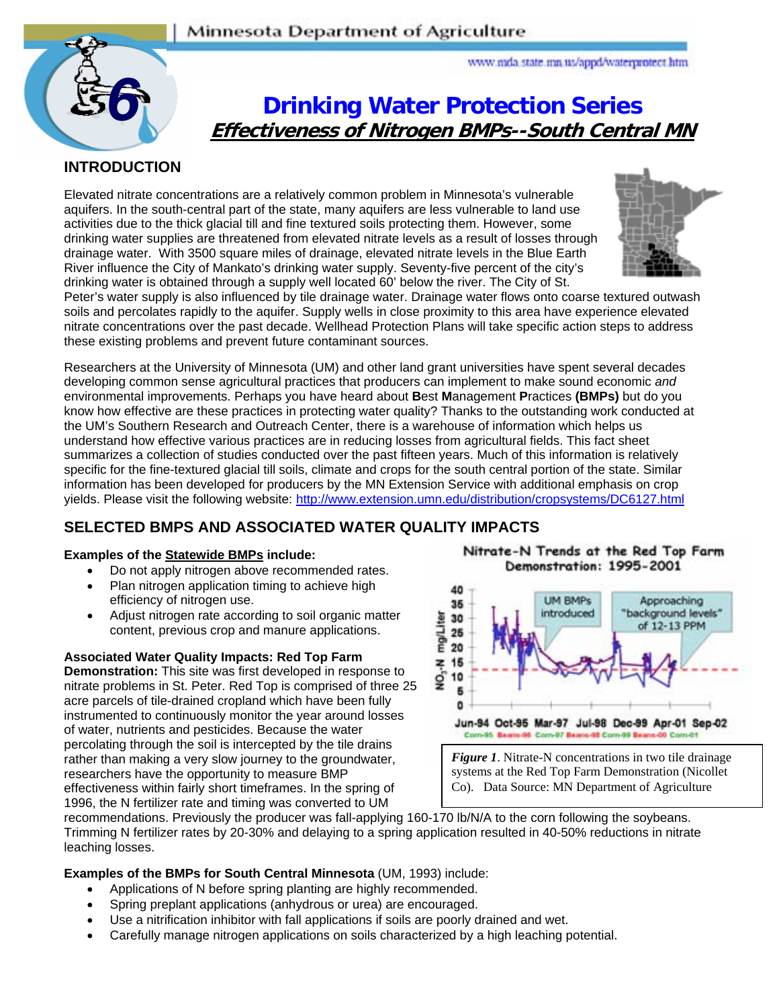

www.mda.state.mn.us/appd/waterprotect.htm

# **Drinking Water Protection Series Effectiveness of Nitrogen BMPs--South Central MN**

## **INTRODUCTION**

Elevated nitrate concentrations are a relatively common problem in Minnesota's vulnerable aquifers. In the south-central part of the state, many aquifers are less vulnerable to land use activities due to the thick glacial till and fine textured soils protecting them. However, some drinking water supplies are threatened from elevated nitrate levels as a result of losses through drainage water. With 3500 square miles of drainage, elevated nitrate levels in the Blue Earth River influence the City of Mankato's drinking water supply. Seventy-five percent of the city's drinking water is obtained through a supply well located 60' below the river. The City of St.



Peter's water supply is also influenced by tile drainage water. Drainage water flows onto coarse textured outwash soils and percolates rapidly to the aquifer. Supply wells in close proximity to this area have experience elevated nitrate concentrations over the past decade. Wellhead Protection Plans will take specific action steps to address these existing problems and prevent future contaminant sources.

Researchers at the University of Minnesota (UM) and other land grant universities have spent several decades developing common sense agricultural practices that producers can implement to make sound economic *and* environmental improvements. Perhaps you have heard about **B**est **M**anagement **P**ractices **(BMPs)** but do you know how effective are these practices in protecting water quality? Thanks to the outstanding work conducted at the UM's Southern Research and Outreach Center, there is a warehouse of information which helps us understand how effective various practices are in reducing losses from agricultural fields. This fact sheet summarizes a collection of studies conducted over the past fifteen years. Much of this information is relatively specific for the fine-textured glacial till soils, climate and crops for the south central portion of the state. Similar information has been developed for producers by the MN Extension Service with additional emphasis on crop yields. Please visit the following website: http://www.extension.umn.edu/distribution/cropsystems/DC6127.html

# **SELECTED BMPS AND ASSOCIATED WATER QUALITY IMPACTS**

## **Examples of the Statewide BMPs include:**

- Do not apply nitrogen above recommended rates.
- Plan nitrogen application timing to achieve high efficiency of nitrogen use.
- Adjust nitrogen rate according to soil organic matter content, previous crop and manure applications.

#### **Associated Water Quality Impacts: Red Top Farm**

**Demonstration:** This site was first developed in response to nitrate problems in St. Peter. Red Top is comprised of three 25 acre parcels of tile-drained cropland which have been fully instrumented to continuously monitor the year around losses of water, nutrients and pesticides. Because the water percolating through the soil is intercepted by the tile drains rather than making a very slow journey to the groundwater, researchers have the opportunity to measure BMP effectiveness within fairly short timeframes. In the spring of 1996, the N fertilizer rate and timing was converted to UM

Nitrate-N Trends at the Red Top Farm Demonstration: 1995-2001



*Figure 1*. Nitrate-N concentrations in two tile drainage systems at the Red Top Farm Demonstration (Nicollet Co). Data Source: MN Department of Agriculture

recommendations. Previously the producer was fall-applying 160-170 lb/N/A to the corn following the soybeans. Trimming N fertilizer rates by 20-30% and delaying to a spring application resulted in 40-50% reductions in nitrate leaching losses.

**Examples of the BMPs for South Central Minnesota** (UM, 1993) include:

- Applications of N before spring planting are highly recommended.
- Spring preplant applications (anhydrous or urea) are encouraged.
- Use a nitrification inhibitor with fall applications if soils are poorly drained and wet.
- Carefully manage nitrogen applications on soils characterized by a high leaching potential.